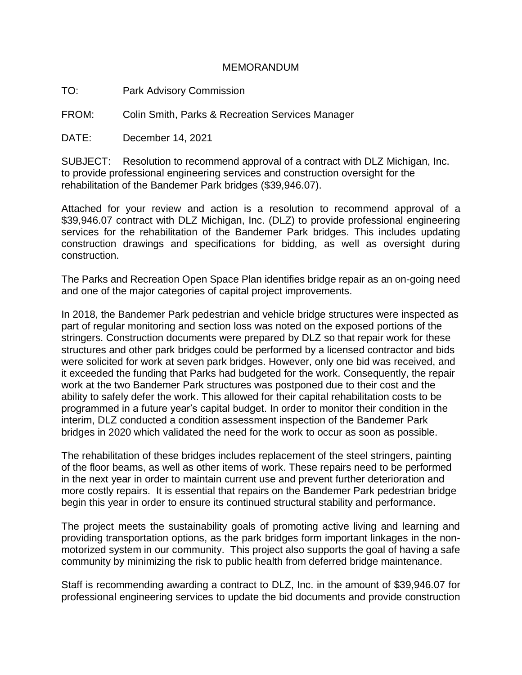## MEMORANDUM

TO: Park Advisory Commission

FROM: Colin Smith, Parks & Recreation Services Manager

DATE: December 14, 2021

SUBJECT: Resolution to recommend approval of a contract with DLZ Michigan, Inc. to provide professional engineering services and construction oversight for the rehabilitation of the Bandemer Park bridges (\$39,946.07).

Attached for your review and action is a resolution to recommend approval of a \$39,946.07 contract with DLZ Michigan, Inc. (DLZ) to provide professional engineering services for the rehabilitation of the Bandemer Park bridges. This includes updating construction drawings and specifications for bidding, as well as oversight during construction.

The Parks and Recreation Open Space Plan identifies bridge repair as an on-going need and one of the major categories of capital project improvements.

In 2018, the Bandemer Park pedestrian and vehicle bridge structures were inspected as part of regular monitoring and section loss was noted on the exposed portions of the stringers. Construction documents were prepared by DLZ so that repair work for these structures and other park bridges could be performed by a licensed contractor and bids were solicited for work at seven park bridges. However, only one bid was received, and it exceeded the funding that Parks had budgeted for the work. Consequently, the repair work at the two Bandemer Park structures was postponed due to their cost and the ability to safely defer the work. This allowed for their capital rehabilitation costs to be programmed in a future year's capital budget. In order to monitor their condition in the interim, DLZ conducted a condition assessment inspection of the Bandemer Park bridges in 2020 which validated the need for the work to occur as soon as possible.

The rehabilitation of these bridges includes replacement of the steel stringers, painting of the floor beams, as well as other items of work. These repairs need to be performed in the next year in order to maintain current use and prevent further deterioration and more costly repairs. It is essential that repairs on the Bandemer Park pedestrian bridge begin this year in order to ensure its continued structural stability and performance.

The project meets the sustainability goals of promoting active living and learning and providing transportation options, as the park bridges form important linkages in the nonmotorized system in our community. This project also supports the goal of having a safe community by minimizing the risk to public health from deferred bridge maintenance.

Staff is recommending awarding a contract to DLZ, Inc. in the amount of \$39,946.07 for professional engineering services to update the bid documents and provide construction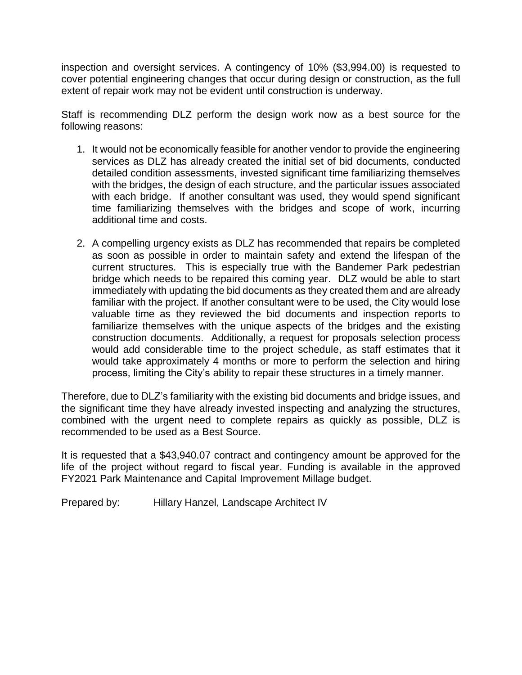inspection and oversight services. A contingency of 10% (\$3,994.00) is requested to cover potential engineering changes that occur during design or construction, as the full extent of repair work may not be evident until construction is underway.

Staff is recommending DLZ perform the design work now as a best source for the following reasons:

- 1. It would not be economically feasible for another vendor to provide the engineering services as DLZ has already created the initial set of bid documents, conducted detailed condition assessments, invested significant time familiarizing themselves with the bridges, the design of each structure, and the particular issues associated with each bridge. If another consultant was used, they would spend significant time familiarizing themselves with the bridges and scope of work, incurring additional time and costs.
- 2. A compelling urgency exists as DLZ has recommended that repairs be completed as soon as possible in order to maintain safety and extend the lifespan of the current structures. This is especially true with the Bandemer Park pedestrian bridge which needs to be repaired this coming year. DLZ would be able to start immediately with updating the bid documents as they created them and are already familiar with the project. If another consultant were to be used, the City would lose valuable time as they reviewed the bid documents and inspection reports to familiarize themselves with the unique aspects of the bridges and the existing construction documents. Additionally, a request for proposals selection process would add considerable time to the project schedule, as staff estimates that it would take approximately 4 months or more to perform the selection and hiring process, limiting the City's ability to repair these structures in a timely manner.

Therefore, due to DLZ's familiarity with the existing bid documents and bridge issues, and the significant time they have already invested inspecting and analyzing the structures, combined with the urgent need to complete repairs as quickly as possible, DLZ is recommended to be used as a Best Source.

It is requested that a \$43,940.07 contract and contingency amount be approved for the life of the project without regard to fiscal year. Funding is available in the approved FY2021 Park Maintenance and Capital Improvement Millage budget.

Prepared by: Hillary Hanzel, Landscape Architect IV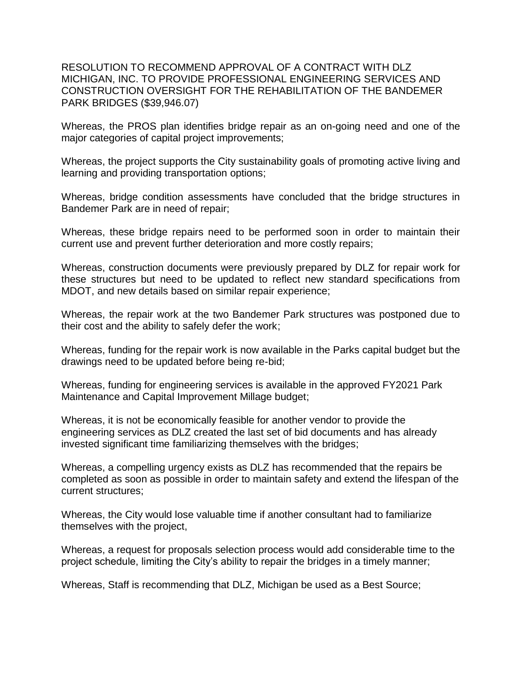RESOLUTION TO RECOMMEND APPROVAL OF A CONTRACT WITH DLZ MICHIGAN, INC. TO PROVIDE PROFESSIONAL ENGINEERING SERVICES AND CONSTRUCTION OVERSIGHT FOR THE REHABILITATION OF THE BANDEMER PARK BRIDGES (\$39,946.07)

Whereas, the PROS plan identifies bridge repair as an on-going need and one of the major categories of capital project improvements;

Whereas, the project supports the City sustainability goals of promoting active living and learning and providing transportation options;

Whereas, bridge condition assessments have concluded that the bridge structures in Bandemer Park are in need of repair;

Whereas, these bridge repairs need to be performed soon in order to maintain their current use and prevent further deterioration and more costly repairs;

Whereas, construction documents were previously prepared by DLZ for repair work for these structures but need to be updated to reflect new standard specifications from MDOT, and new details based on similar repair experience;

Whereas, the repair work at the two Bandemer Park structures was postponed due to their cost and the ability to safely defer the work;

Whereas, funding for the repair work is now available in the Parks capital budget but the drawings need to be updated before being re-bid;

Whereas, funding for engineering services is available in the approved FY2021 Park Maintenance and Capital Improvement Millage budget;

Whereas, it is not be economically feasible for another vendor to provide the engineering services as DLZ created the last set of bid documents and has already invested significant time familiarizing themselves with the bridges;

Whereas, a compelling urgency exists as DLZ has recommended that the repairs be completed as soon as possible in order to maintain safety and extend the lifespan of the current structures;

Whereas, the City would lose valuable time if another consultant had to familiarize themselves with the project,

Whereas, a request for proposals selection process would add considerable time to the project schedule, limiting the City's ability to repair the bridges in a timely manner;

Whereas, Staff is recommending that DLZ, Michigan be used as a Best Source;